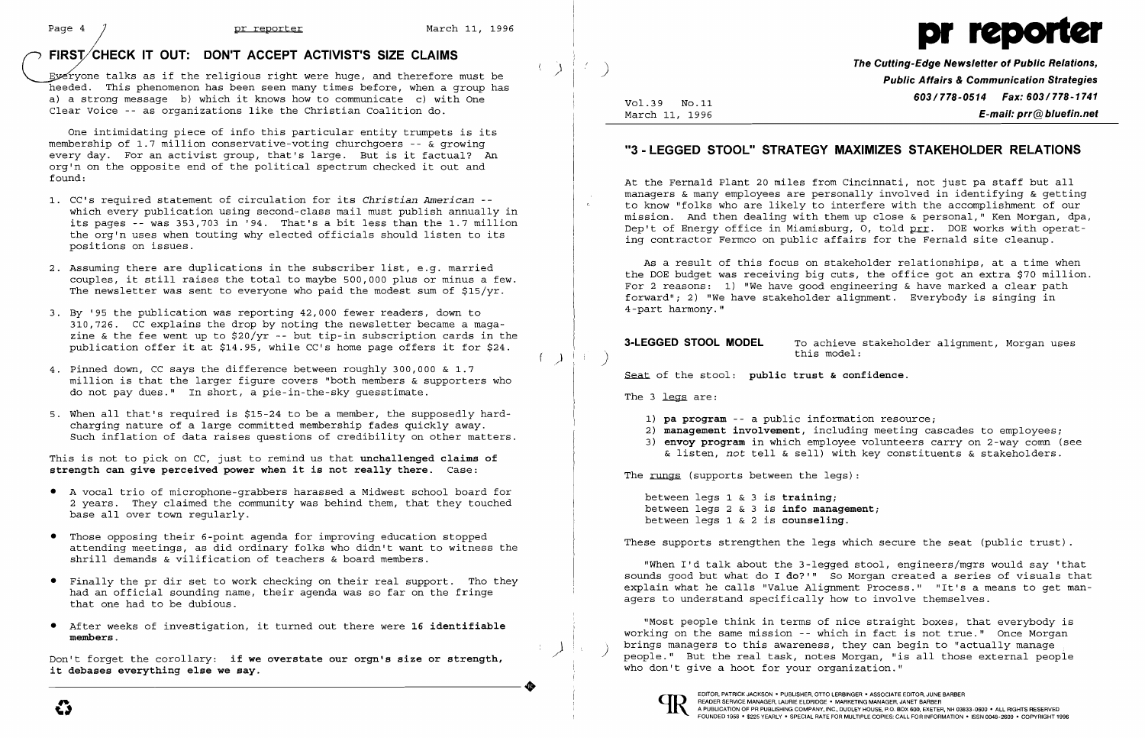## *r* **FIRSyCHECK IT OUT: DON'T ACCEPT ACTIVIST'S SIZE CLAIMS**

Eyeryone talks as if the religious right were huge, and therefore must be heeded. This phenomenon has been seen many times before, when a group has a) a strong message b) which it knows how to communicate c) with One Clear Voice -- as organizations like the Christian Coalition do.

One intimidating piece of info this particular entity trumpets is its membership of 1.7 million conservative-voting churchgoers -- & growing every day. For an activist group, that's large. But is it factual? An ordry day. The an accretive group, that b rarge. But it it racedur: The opposite end of the political spectrum checked it out and found:

- 1. CC's required statement of circulation for its *Christian American*  which every publication using second-class mail must publish annually in its pages -- was 353,703 in '94. That's a bit less than the 1.7 million the org'n uses when touting why elected officials should listen to its positions on issues.
- 2. Assuming there are duplications in the subscriber list, e.g. married couples, it still raises the total to maybe 500,000 plus or minus a few. The newsletter was sent to everyone who paid the modest sum of \$15/yr.
- 3. By '95 the publication was reporting 42,000 fewer readers, down to 310,726. CC explains the drop by noting the newsletter became a magazine & the fee went up to  $$20/yr$  -- but tip-in subscription cards in the publication offer it at \$14.95, while CC's home page offers it for \$24.
- 4. Pinned down, CC says the difference between roughly 300,000 & 1.7 million is that the larger figure covers "both members & supporters who do not pay dues." In short, a pie-in-the-sky guesstimate.
- 5. When all that's required is \$15-24 to be a member, the supposedly hardcharging nature of a large committed membership fades quickly away. Such inflation of data raises questions of credibility on other matters.

Don't forget the corollary: **if we overstate our orgn's size or strength,**<br>
it debases everything else we say. **it debases everything else we say.** 

**The Cutting-Edge Newsletter of Public Relations,** ) **Public Affairs & Communication Strategies 1001.39 No.11** Vol.39 No.11<br>March 11, 1996 **F-mail: prr@bluefin.net** E-mail: prr@bluefin.net

**3-LEGGED STOOL MODEL** To achieve stakeholder alignment, Morgan uses

This is not to pick on CC, just to remind us that **unchallenged claims of strength can give perceived power when it is not really there.** Case:

- • A vocal trio of microphone-grabbers harassed a Midwest school board for 2 years. They claimed the community was behind them, that they touched base all over town regularly.
- • Those opposing their 6-point agenda for improving education stopped attending meetings, as did ordinary folks who didn't want to witness the shrill demands & vilification of teachers & board members.
- • Finally the pr dir set to work checking on their real support. Tho they had an official sounding name, their agenda was so far on the fringe that one had to be dubious.
- • After weeks of investigation, it turned out there were **16 identifiable members.**





## **"3 - LEGGED STOOL" STRATEGY MAXIMIZES STAKEHOLDER RELATIONS**

At the Fernald Plant 20 miles from Cincinnati, not just pa staff but all managers & many employees are personally involved in identifying & getting to know "folks who are likely to interfere with the accomplishment of our mission. And then dealing with them up close & personal," Ken Morgan, dpa, Dep't of Energy office in Miamisburg, 0, told prr. DOE works with operating contractor Fermco on public affairs for the Fernald site cleanup.

As a result of this focus on stakeholder relationships, at a time when the DOE budget was receiving big cuts, the office got an extra \$70 million. For 2 reasons: 1) "We have good engineering & have marked a clear path forward"; 2) "We have stakeholder alignment. Everybody is singing in 4-part harmony."

this model: )

Seat of the stool: public trust & confidence.

The 3 legs are:

 $(1 + i)$ 

- 1) **pa program** -- a public information resource;
- 
- 

The rungs (supports between the legs):

2) **management involvement,** including meeting cascades to employees; 3) **envoy program** in which employee volunteers carry on 2-way comn (see & listen, *not* tell & sell) with key constituents & stakeholders.

between legs 1 & 3 is **training;** between legs 2 & 3 is **info management;**  between legs 1 & 2 is **counseling.** 

These supports strengthen the legs which secure the seat (public trust) .

"When I'd talk about the 3-legged stool, engineers/mgrs would say 'that sounds good but what do I **do?'"** So Morgan created a series of visuals that explain what he calls "Value Alignment Process." "It's a means to get managers to understand specifically how to involve themselves.

"Most people think in terms of nice straight boxes, that everybody is working on the same mission -- which in fact is not true." Once Morgan<br>brings managers to this awareness, they can begin to "actually manage people." But the real task, notes Morgan, "is all those external people who don't give a hoot for your organization."